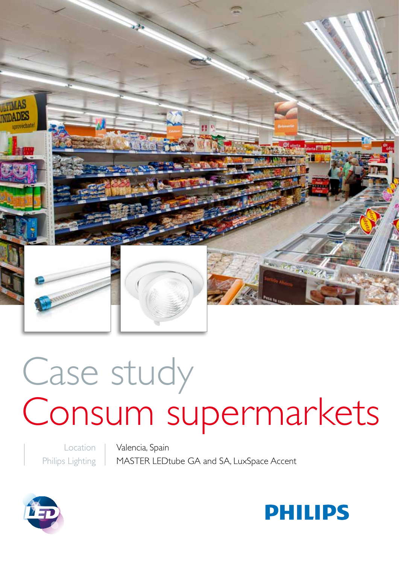

# Case study Consum supermarkets

Location Philips Lighting Valencia, Spain MASTER LEDtube GA and SA, LuxSpace Accent



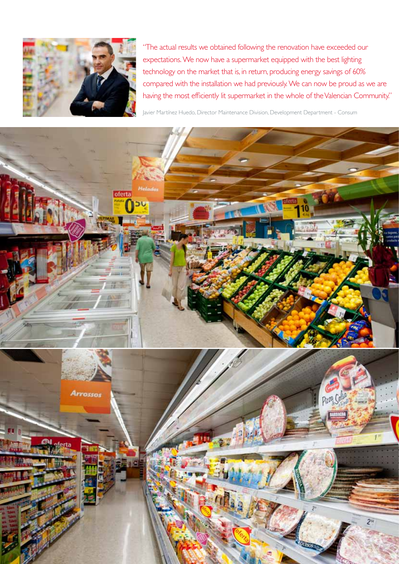

"The actual results we obtained following the renovation have exceeded our expectations. We now have a supermarket equipped with the best lighting technology on the market that is, in return, producing energy savings of 60% compared with the installation we had previously. We can now be proud as we are having the most efficiently lit supermarket in the whole of the Valencian Community."

Javier Martínez Huedo, Director Maintenance Division, Development Department - Consum

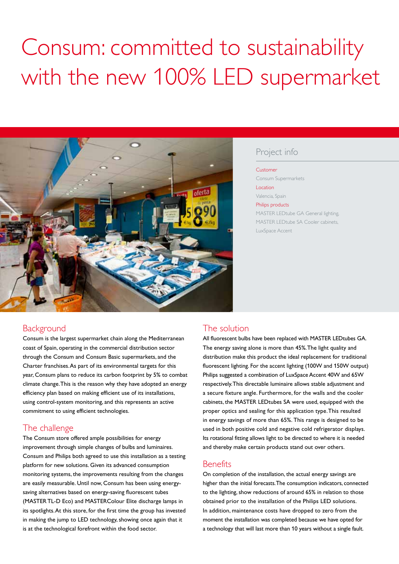## Consum: committed to sustainability with the new 100% LED supermarket



#### Project info

#### Customer

Consum Supermarkets **Location** 

Valencia, Spain

Philips products

MASTER LEDtube GA General lighting, MASTER LEDtube SA Cooler cabinets, LuxSpace Accent

#### **Background**

Consum is the largest supermarket chain along the Mediterranean coast of Spain, operating in the commercial distribution sector through the Consum and Consum Basic supermarkets, and the Charter franchises. As part of its environmental targets for this year, Consum plans to reduce its carbon footprint by 5% to combat climate change. This is the reason why they have adopted an energy efficiency plan based on making efficient use of its installations, using control-system monitoring, and this represents an active commitment to using efficient technologies.

### The challenge

The Consum store offered ample possibilities for energy improvement through simple changes of bulbs and luminaires. Consum and Philips both agreed to use this installation as a testing platform for new solutions. Given its advanced consumption monitoring systems, the improvements resulting from the changes are easily measurable. Until now, Consum has been using energysaving alternatives based on energy-saving fluorescent tubes (MASTER TL-D Eco) and MASTERColour Elite discharge lamps in its spotlights. At this store, for the first time the group has invested in making the jump to LED technology, showing once again that it is at the technological forefront within the food sector.

#### The solution

All fluorescent bulbs have been replaced with MASTER LEDtubes GA. The energy saving alone is more than 45%. The light quality and distribution make this product the ideal replacement for traditional fluorescent lighting. For the accent lighting (100W and 150W output) Philips suggested a combination of LuxSpace Accent 40W and 65W respectively. This directable luminaire allows stable adjustment and a secure fixture angle. Furthermore, for the walls and the cooler cabinets, the MASTER LEDtubes SA were used, equipped with the proper optics and sealing for this application type. This resulted in energy savings of more than 65%. This range is designed to be used in both positive cold and negative cold refrigerator displays. Its rotational fitting allows light to be directed to where it is needed and thereby make certain products stand out over others.

#### **Benefits**

On completion of the installation, the actual energy savings are higher than the initial forecasts. The consumption indicators, connected to the lighting, show reductions of around 65% in relation to those obtained prior to the installation of the Philips LED solutions. In addition, maintenance costs have dropped to zero from the moment the installation was completed because we have opted for a technology that will last more than 10 years without a single fault.